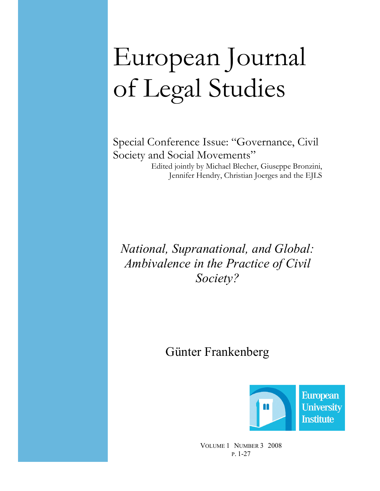# European Journal of Legal Studies

Special Conference Issue: "Governance, Civil Society and Social Movements" Edited jointly by Michael Blecher, Giuseppe Bronzini, Jennifer Hendry, Christian Joerges and the EJLS

National, Supranational, and Global: Ambivalence in the Practice of Civil Society?

# Günter Frankenberg



VOLUME 1 NUMBER 3 2008 P. 1-27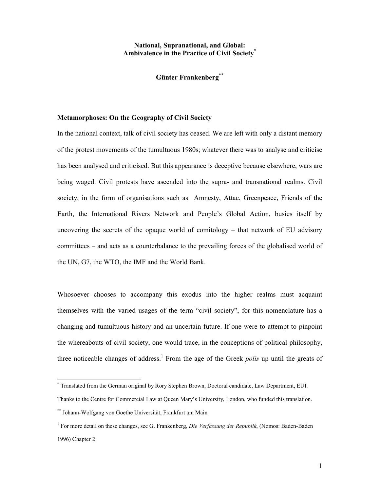## National, Supranational, and Global: Ambivalence in the Practice of Civil Society<sup>\*</sup>

Günter Frankenberg\*\*

#### Metamorphoses: On the Geography of Civil Society

In the national context, talk of civil society has ceased. We are left with only a distant memory of the protest movements of the tumultuous 1980s; whatever there was to analyse and criticise has been analysed and criticised. But this appearance is deceptive because elsewhere, wars are being waged. Civil protests have ascended into the supra- and transnational realms. Civil society, in the form of organisations such as Amnesty, Attac, Greenpeace, Friends of the Earth, the International Rivers Network and People's Global Action, busies itself by uncovering the secrets of the opaque world of comitology – that network of EU advisory committees – and acts as a counterbalance to the prevailing forces of the globalised world of the UN, G7, the WTO, the IMF and the World Bank.

Whosoever chooses to accompany this exodus into the higher realms must acquaint themselves with the varied usages of the term "civil society", for this nomenclature has a changing and tumultuous history and an uncertain future. If one were to attempt to pinpoint the whereabouts of civil society, one would trace, in the conceptions of political philosophy, three noticeable changes of address.<sup>1</sup> From the age of the Greek *polis* up until the greats of

\* Translated from the German original by Rory Stephen Brown, Doctoral candidate, Law Department, EUI.

Thanks to the Centre for Commercial Law at Queen Mary's University, London, who funded this translation.

 $\ddot{\phantom{a}}$ 

<sup>\*\*</sup> Johann-Wolfgang von Goethe Universität, Frankfurt am Main

<sup>&</sup>lt;sup>1</sup> For more detail on these changes, see G. Frankenberg, *Die Verfassung der Republik*, (Nomos: Baden-Baden 1996) Chapter 2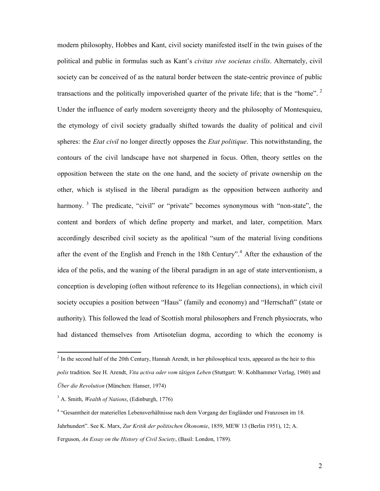modern philosophy, Hobbes and Kant, civil society manifested itself in the twin guises of the political and public in formulas such as Kant's civitas sive societas civilis. Alternately, civil society can be conceived of as the natural border between the state-centric province of public transactions and the politically impoverished quarter of the private life; that is the "home".  $2$ Under the influence of early modern sovereignty theory and the philosophy of Montesquieu, the etymology of civil society gradually shifted towards the duality of political and civil spheres: the *Etat civil* no longer directly opposes the *Etat politique*. This notwithstanding, the contours of the civil landscape have not sharpened in focus. Often, theory settles on the opposition between the state on the one hand, and the society of private ownership on the other, which is stylised in the liberal paradigm as the opposition between authority and harmony.<sup>3</sup> The predicate, "civil" or "private" becomes synonymous with "non-state", the content and borders of which define property and market, and later, competition. Marx accordingly described civil society as the apolitical "sum of the material living conditions after the event of the English and French in the 18th Century".<sup>4</sup> After the exhaustion of the idea of the polis, and the waning of the liberal paradigm in an age of state interventionism, a conception is developing (often without reference to its Hegelian connections), in which civil society occupies a position between "Haus" (family and economy) and "Herrschaft" (state or authority). This followed the lead of Scottish moral philosophers and French physiocrats, who had distanced themselves from Artisotelian dogma, according to which the economy is

 $\overline{a}$ 

Jahrhundert". See K. Marx, Zur Kritik der politischen Ökonomie, 1859, MEW 13 (Berlin 1951), 12; A.

Ferguson, An Essay on the History of Civil Society, (Basil: London, 1789).

 $2<sup>2</sup>$  In the second half of the 20th Century, Hannah Arendt, in her philosophical texts, appeared as the heir to this polis tradition. See H. Arendt, Vita activa oder vom tätigen Leben (Stuttgart: W. Kohlhammer Verlag, 1960) and Über die Revolution (München: Hanser, 1974)

 $3$  A. Smith, *Wealth of Nations*, (Edinburgh, 1776)

<sup>&</sup>lt;sup>4</sup> "Gesamtheit der materiellen Lebensverhältnisse nach dem Vorgang der Engländer und Franzosen im 18.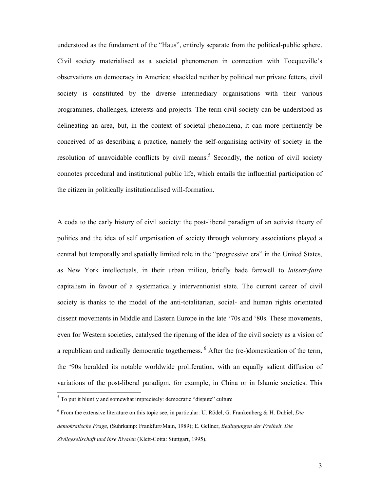understood as the fundament of the "Haus", entirely separate from the political-public sphere. Civil society materialised as a societal phenomenon in connection with Tocqueville's observations on democracy in America; shackled neither by political nor private fetters, civil society is constituted by the diverse intermediary organisations with their various programmes, challenges, interests and projects. The term civil society can be understood as delineating an area, but, in the context of societal phenomena, it can more pertinently be conceived of as describing a practice, namely the self-organising activity of society in the resolution of unavoidable conflicts by civil means.<sup>5</sup> Secondly, the notion of civil society connotes procedural and institutional public life, which entails the influential participation of the citizen in politically institutionalised will-formation.

A coda to the early history of civil society: the post-liberal paradigm of an activist theory of politics and the idea of self organisation of society through voluntary associations played a central but temporally and spatially limited role in the "progressive era" in the United States, as New York intellectuals, in their urban milieu, briefly bade farewell to *laissez-faire* capitalism in favour of a systematically interventionist state. The current career of civil society is thanks to the model of the anti-totalitarian, social- and human rights orientated dissent movements in Middle and Eastern Europe in the late '70s and '80s. These movements, even for Western societies, catalysed the ripening of the idea of the civil society as a vision of a republican and radically democratic togetherness. <sup>6</sup> After the (re-)domestication of the term, the '90s heralded its notable worldwide proliferation, with an equally salient diffusion of variations of the post-liberal paradigm, for example, in China or in Islamic societies. This

 5 To put it bluntly and somewhat imprecisely: democratic "dispute" culture

<sup>&</sup>lt;sup>6</sup> From the extensive literature on this topic see, in particular: U. Rödel, G. Frankenberg & H. Dubiel, *Die* demokratische Frage, (Suhrkamp: Frankfurt/Main, 1989); E. Gellner, Bedingungen der Freiheit. Die Zivilgesellschaft und ihre Rivalen (Klett-Cotta: Stuttgart, 1995).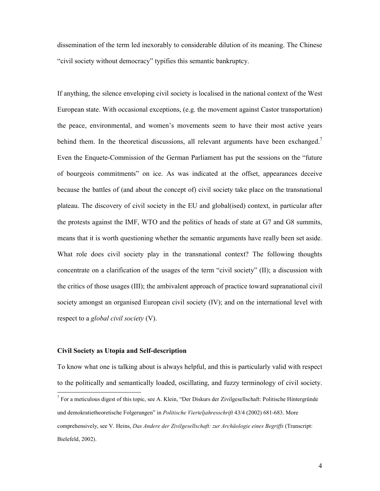dissemination of the term led inexorably to considerable dilution of its meaning. The Chinese "civil society without democracy" typifies this semantic bankruptcy.

If anything, the silence enveloping civil society is localised in the national context of the West European state. With occasional exceptions, (e.g. the movement against Castor transportation) the peace, environmental, and women's movements seem to have their most active years behind them. In the theoretical discussions, all relevant arguments have been exchanged.<sup>7</sup> Even the Enquete-Commission of the German Parliament has put the sessions on the "future of bourgeois commitments" on ice. As was indicated at the offset, appearances deceive because the battles of (and about the concept of) civil society take place on the transnational plateau. The discovery of civil society in the EU and global(ised) context, in particular after the protests against the IMF, WTO and the politics of heads of state at G7 and G8 summits, means that it is worth questioning whether the semantic arguments have really been set aside. What role does civil society play in the transnational context? The following thoughts concentrate on a clarification of the usages of the term "civil society" (II); a discussion with the critics of those usages (III); the ambivalent approach of practice toward supranational civil society amongst an organised European civil society (IV); and on the international level with respect to a global civil society (V).

#### Civil Society as Utopia and Self-description

To know what one is talking about is always helpful, and this is particularly valid with respect to the politically and semantically loaded, oscillating, and fuzzy terminology of civil society.

<sup>&</sup>lt;sup>7</sup> For a meticulous digest of this topic, see A. Klein, "Der Diskurs der Zivilgesellschaft: Politische Hintergründe und demokratietheoretische Folgerungen" in Politische Vierteljahresschrift 43/4 (2002) 681-683. More comprehensively, see V. Heins, Das Andere der Zivilgesellschaft: zur Archäologie eines Begriffs (Transcript: Bielefeld, 2002).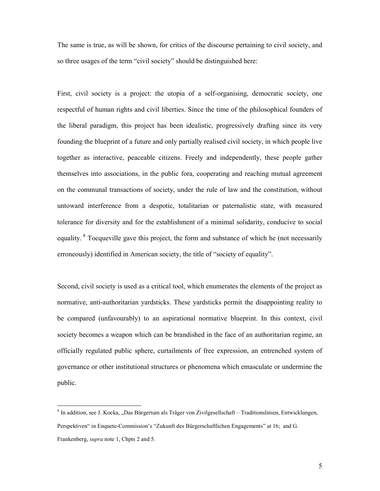The same is true, as will be shown, for critics of the discourse pertaining to civil society, and so three usages of the term "civil society" should be distinguished here:

First, civil society is a project: the utopia of a self-organising, democratic society, one respectful of human rights and civil liberties. Since the time of the philosophical founders of the liberal paradigm, this project has been idealistic, progressively drafting since its very founding the blueprint of a future and only partially realised civil society, in which people live together as interactive, peaceable citizens. Freely and independently, these people gather themselves into associations, in the public fora, cooperating and reaching mutual agreement on the communal transactions of society, under the rule of law and the constitution, without untoward interference from a despotic, totalitarian or paternalistic state, with measured tolerance for diversity and for the establishment of a minimal solidarity, conducive to social equality.<sup>8</sup> Tocqueville gave this project, the form and substance of which he (not necessarily erroneously) identified in American society, the title of "society of equality".

Second, civil society is used as a critical tool, which enumerates the elements of the project as normative, anti-authoritarian yardsticks. These yardsticks permit the disappointing reality to be compared (unfavourably) to an aspirational normative blueprint. In this context, civil society becomes a weapon which can be brandished in the face of an authoritarian regime, an officially regulated public sphere, curtailments of free expression, an entrenched system of governance or other institutional structures or phenomena which emasculate or undermine the public.

 $\overline{a}$ <sup>8</sup> In addition, see J. Kocka, "Das Bürgertum als Träger von Zivilgesellschaft – Traditionslinien, Entwicklungen, Perspektiven" in Enquete-Commission's "Zukunft des Bürgerschaftlichen Engagements" at 16; and G. Frankenberg, supra note 1, Chpts 2 and 5.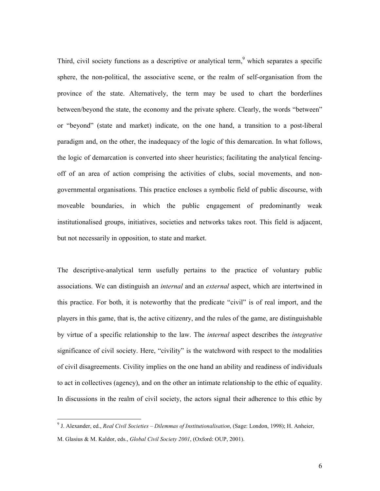Third, civil society functions as a descriptive or analytical term,  $9$  which separates a specific sphere, the non-political, the associative scene, or the realm of self-organisation from the province of the state. Alternatively, the term may be used to chart the borderlines between/beyond the state, the economy and the private sphere. Clearly, the words "between" or "beyond" (state and market) indicate, on the one hand, a transition to a post-liberal paradigm and, on the other, the inadequacy of the logic of this demarcation. In what follows, the logic of demarcation is converted into sheer heuristics; facilitating the analytical fencingoff of an area of action comprising the activities of clubs, social movements, and nongovernmental organisations. This practice encloses a symbolic field of public discourse, with moveable boundaries, in which the public engagement of predominantly weak institutionalised groups, initiatives, societies and networks takes root. This field is adjacent, but not necessarily in opposition, to state and market.

The descriptive-analytical term usefully pertains to the practice of voluntary public associations. We can distinguish an internal and an external aspect, which are intertwined in this practice. For both, it is noteworthy that the predicate "civil" is of real import, and the players in this game, that is, the active citizenry, and the rules of the game, are distinguishable by virtue of a specific relationship to the law. The internal aspect describes the integrative significance of civil society. Here, "civility" is the watchword with respect to the modalities of civil disagreements. Civility implies on the one hand an ability and readiness of individuals to act in collectives (agency), and on the other an intimate relationship to the ethic of equality. In discussions in the realm of civil society, the actors signal their adherence to this ethic by

 9 J. Alexander, ed., Real Civil Societies – Dilemmas of Institutionalisation, (Sage: London, 1998); H. Anheier,

M. Glasius & M. Kaldor, eds., Global Civil Society 2001, (Oxford: OUP, 2001).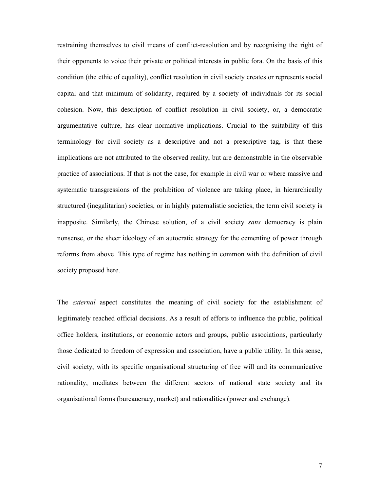restraining themselves to civil means of conflict-resolution and by recognising the right of their opponents to voice their private or political interests in public fora. On the basis of this condition (the ethic of equality), conflict resolution in civil society creates or represents social capital and that minimum of solidarity, required by a society of individuals for its social cohesion. Now, this description of conflict resolution in civil society, or, a democratic argumentative culture, has clear normative implications. Crucial to the suitability of this terminology for civil society as a descriptive and not a prescriptive tag, is that these implications are not attributed to the observed reality, but are demonstrable in the observable practice of associations. If that is not the case, for example in civil war or where massive and systematic transgressions of the prohibition of violence are taking place, in hierarchically structured (inegalitarian) societies, or in highly paternalistic societies, the term civil society is inapposite. Similarly, the Chinese solution, of a civil society sans democracy is plain nonsense, or the sheer ideology of an autocratic strategy for the cementing of power through reforms from above. This type of regime has nothing in common with the definition of civil society proposed here.

The external aspect constitutes the meaning of civil society for the establishment of legitimately reached official decisions. As a result of efforts to influence the public, political office holders, institutions, or economic actors and groups, public associations, particularly those dedicated to freedom of expression and association, have a public utility. In this sense, civil society, with its specific organisational structuring of free will and its communicative rationality, mediates between the different sectors of national state society and its organisational forms (bureaucracy, market) and rationalities (power and exchange).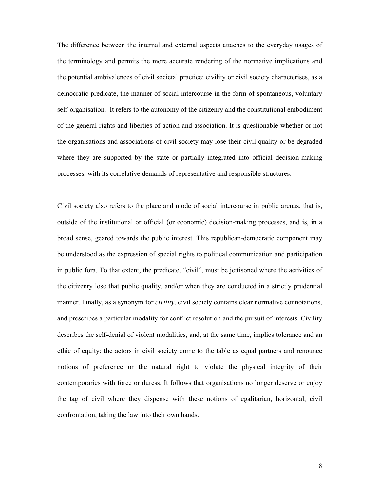The difference between the internal and external aspects attaches to the everyday usages of the terminology and permits the more accurate rendering of the normative implications and the potential ambivalences of civil societal practice: civility or civil society characterises, as a democratic predicate, the manner of social intercourse in the form of spontaneous, voluntary self-organisation. It refers to the autonomy of the citizenry and the constitutional embodiment of the general rights and liberties of action and association. It is questionable whether or not the organisations and associations of civil society may lose their civil quality or be degraded where they are supported by the state or partially integrated into official decision-making processes, with its correlative demands of representative and responsible structures.

Civil society also refers to the place and mode of social intercourse in public arenas, that is, outside of the institutional or official (or economic) decision-making processes, and is, in a broad sense, geared towards the public interest. This republican-democratic component may be understood as the expression of special rights to political communication and participation in public fora. To that extent, the predicate, "civil", must be jettisoned where the activities of the citizenry lose that public quality, and/or when they are conducted in a strictly prudential manner. Finally, as a synonym for *civility*, civil society contains clear normative connotations, and prescribes a particular modality for conflict resolution and the pursuit of interests. Civility describes the self-denial of violent modalities, and, at the same time, implies tolerance and an ethic of equity: the actors in civil society come to the table as equal partners and renounce notions of preference or the natural right to violate the physical integrity of their contemporaries with force or duress. It follows that organisations no longer deserve or enjoy the tag of civil where they dispense with these notions of egalitarian, horizontal, civil confrontation, taking the law into their own hands.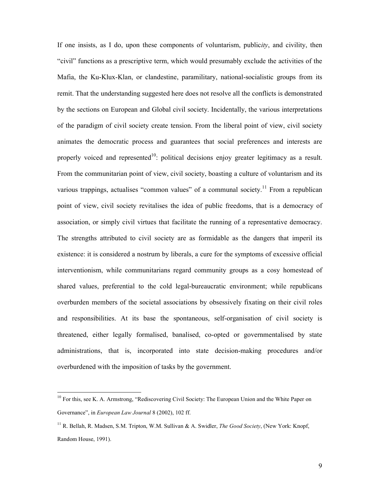If one insists, as I do, upon these components of voluntarism, publicity, and civility, then "civil" functions as a prescriptive term, which would presumably exclude the activities of the Mafia, the Ku-Klux-Klan, or clandestine, paramilitary, national-socialistic groups from its remit. That the understanding suggested here does not resolve all the conflicts is demonstrated by the sections on European and Global civil society. Incidentally, the various interpretations of the paradigm of civil society create tension. From the liberal point of view, civil society animates the democratic process and guarantees that social preferences and interests are properly voiced and represented<sup>10</sup>: political decisions enjoy greater legitimacy as a result. From the communitarian point of view, civil society, boasting a culture of voluntarism and its various trappings, actualises "common values" of a communal society.<sup>11</sup> From a republican point of view, civil society revitalises the idea of public freedoms, that is a democracy of association, or simply civil virtues that facilitate the running of a representative democracy. The strengths attributed to civil society are as formidable as the dangers that imperil its existence: it is considered a nostrum by liberals, a cure for the symptoms of excessive official interventionism, while communitarians regard community groups as a cosy homestead of shared values, preferential to the cold legal-bureaucratic environment; while republicans overburden members of the societal associations by obsessively fixating on their civil roles and responsibilities. At its base the spontaneous, self-organisation of civil society is threatened, either legally formalised, banalised, co-opted or governmentalised by state administrations, that is, incorporated into state decision-making procedures and/or overburdened with the imposition of tasks by the government.

<sup>&</sup>lt;sup>10</sup> For this, see K. A. Armstrong, "Rediscovering Civil Society: The European Union and the White Paper on Governance", in European Law Journal 8 (2002), 102 ff.

<sup>&</sup>lt;sup>11</sup> R. Bellah, R. Madsen, S.M. Tripton, W.M. Sullivan & A. Swidler, *The Good Society*, (New York: Knopf, Random House, 1991).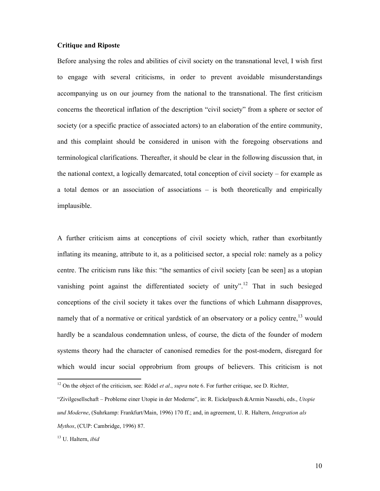#### Critique and Riposte

Before analysing the roles and abilities of civil society on the transnational level, I wish first to engage with several criticisms, in order to prevent avoidable misunderstandings accompanying us on our journey from the national to the transnational. The first criticism concerns the theoretical inflation of the description "civil society" from a sphere or sector of society (or a specific practice of associated actors) to an elaboration of the entire community, and this complaint should be considered in unison with the foregoing observations and terminological clarifications. Thereafter, it should be clear in the following discussion that, in the national context, a logically demarcated, total conception of civil society – for example as a total demos or an association of associations – is both theoretically and empirically implausible.

A further criticism aims at conceptions of civil society which, rather than exorbitantly inflating its meaning, attribute to it, as a politicised sector, a special role: namely as a policy centre. The criticism runs like this: "the semantics of civil society [can be seen] as a utopian vanishing point against the differentiated society of unity".<sup>12</sup> That in such besieged conceptions of the civil society it takes over the functions of which Luhmann disapproves, namely that of a normative or critical yardstick of an observatory or a policy centre,<sup>13</sup> would hardly be a scandalous condemnation unless, of course, the dicta of the founder of modern systems theory had the character of canonised remedies for the post-modern, disregard for which would incur social opprobrium from groups of believers. This criticism is not

 $\ddot{\phantom{a}}$ 

 $12$  On the object of the criticism, see: Rödel *et al., supra* note 6. For further critique, see D. Richter,

<sup>&</sup>quot;Zivilgesellschaft – Probleme einer Utopie in der Moderne", in: R. Eickelpasch &Armin Nassehi, eds., Utopie und Moderne, (Suhrkamp: Frankfurt/Main, 1996) 170 ff.; and, in agreement, U. R. Haltern, Integration als Mythos, (CUP: Cambridge, 1996) 87.

<sup>&</sup>lt;sup>13</sup> U. Haltern, *ibid*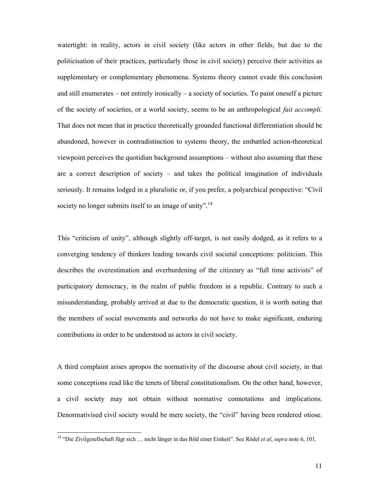watertight: in reality, actors in civil society (like actors in other fields, but due to the politicisation of their practices, particularly those in civil society) perceive their activities as supplementary or complementary phenomena. Systems theory cannot evade this conclusion and still enumerates – not entirely ironically – a society of societies. To paint oneself a picture of the society of societies, or a world society, seems to be an anthropological fait accompli. That does not mean that in practice theoretically grounded functional differentiation should be abandoned, however in contradistinction to systems theory, the embattled action-theoretical viewpoint perceives the quotidian background assumptions – without also assuming that these are a correct description of society – and takes the political imagination of individuals seriously. It remains lodged in a pluralistic or, if you prefer, a polyarchical perspective: "Civil society no longer submits itself to an image of unity".<sup>14</sup>

This "criticism of unity", although slightly off-target, is not easily dodged, as it refers to a converging tendency of thinkers leading towards civil societal conceptions: politicism. This describes the overestimation and overburdening of the citizenry as "full time activists" of participatory democracy, in the realm of public freedom in a republic. Contrary to such a misunderstanding, probably arrived at due to the democratic question, it is worth noting that the members of social movements and networks do not have to make significant, enduring contributions in order to be understood as actors in civil society.

A third complaint arises apropos the normativity of the discourse about civil society, in that some conceptions read like the tenets of liberal constitutionalism. On the other hand, however, a civil society may not obtain without normative connotations and implications. Denormativised civil society would be mere society, the "civil" having been rendered otiose.

<sup>&</sup>lt;sup>14</sup> "Die Zivilgesellschaft fügt sich ... nicht länger in das Bild einer Einheit". See Rödel et al, supra note 6, 101.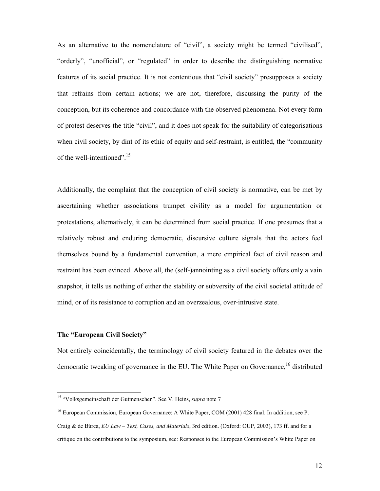As an alternative to the nomenclature of "civil", a society might be termed "civilised", "orderly", "unofficial", or "regulated" in order to describe the distinguishing normative features of its social practice. It is not contentious that "civil society" presupposes a society that refrains from certain actions; we are not, therefore, discussing the purity of the conception, but its coherence and concordance with the observed phenomena. Not every form of protest deserves the title "civil", and it does not speak for the suitability of categorisations when civil society, by dint of its ethic of equity and self-restraint, is entitled, the "community of the well-intentioned".<sup>15</sup>

Additionally, the complaint that the conception of civil society is normative, can be met by ascertaining whether associations trumpet civility as a model for argumentation or protestations, alternatively, it can be determined from social practice. If one presumes that a relatively robust and enduring democratic, discursive culture signals that the actors feel themselves bound by a fundamental convention, a mere empirical fact of civil reason and restraint has been evinced. Above all, the (self-)annointing as a civil society offers only a vain snapshot, it tells us nothing of either the stability or subversity of the civil societal attitude of mind, or of its resistance to corruption and an overzealous, over-intrusive state.

### The "European Civil Society"

 $\overline{a}$ 

Not entirely coincidentally, the terminology of civil society featured in the debates over the democratic tweaking of governance in the EU. The White Paper on Governance,<sup>16</sup> distributed

<sup>&</sup>lt;sup>15</sup> "Volksgemeinschaft der Gutmenschen". See V. Heins, supra note 7

<sup>&</sup>lt;sup>16</sup> European Commission, European Governance: A White Paper, COM (2001) 428 final. In addition, see P. Craig & de Búrca, EU Law – Text, Cases, and Materials, 3rd edition. (Oxford: OUP, 2003), 173 ff. and for a critique on the contributions to the symposium, see: Responses to the European Commission's White Paper on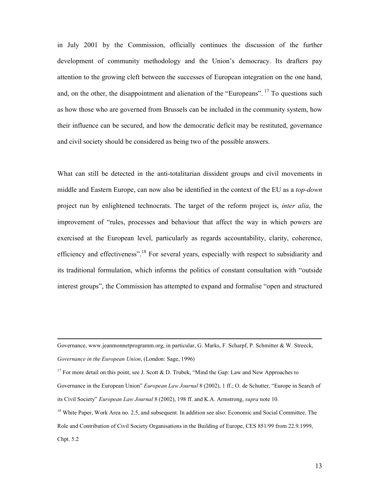in July 2001 by the Commission, officially continues the discussion of the further development of community methodology and the Union's democracy. Its drafters pay attention to the growing cleft between the successes of European integration on the one hand, and, on the other, the disappointment and alienation of the "Europeans".  $^{17}$  To questions such as how those who are governed from Brussels can be included in the community system, how their influence can be secured, and how the democratic deficit may be restituted, governance and civil society should be considered as being two of the possible answers.

What can still be detected in the anti-totalitarian dissident groups and civil movements in middle and Eastern Europe, can now also be identified in the context of the EU as a top-down project run by enlightened technocrats. The target of the reform project is, inter alia, the improvement of "rules, processes and behaviour that affect the way in which powers are exercised at the European level, particularly as regards accountability, clarity, coherence, efficiency and effectiveness".<sup>18</sup> For several years, especially with respect to subsidiarity and its traditional formulation, which informs the politics of constant consultation with "outside interest groups", the Commission has attempted to expand and formalise "open and structured

Governance, www.jeanmonnetprogramm.org, in particular, G. Marks, F. Scharpf, P. Schmitter & W. Streeck, Governance in the European Union, (London: Sage, 1996)

 $\overline{a}$ 

<sup>17</sup> For more detail on this point, see J. Scott & D. Trubek, "Mind the Gap: Law and New Approaches to Governance in the European Union" European Law Journal 8 (2002), 1 ff.; O. de Schutter, "Europe in Search of its Civil Society" European Law Journal 8 (2002), 198 ff. and K.A. Armstrong, supra note 10. <sup>18</sup> White Paper, Work Area no. 2.5, and subsequent. In addition see also: Economic and Social Committee. The Role and Contribution of Civil Society Organisations in the Building of Europe, CES 851/99 from 22.9.1999, Chpt. 5.2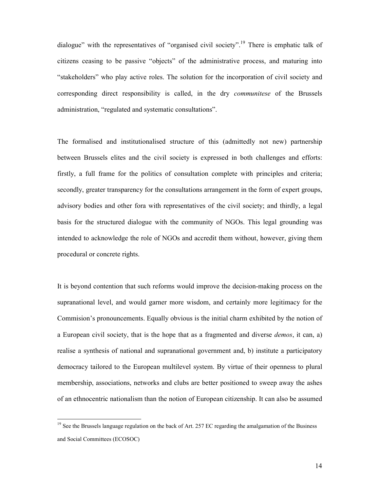dialogue" with the representatives of "organised civil society".<sup>19</sup> There is emphatic talk of citizens ceasing to be passive "objects" of the administrative process, and maturing into "stakeholders" who play active roles. The solution for the incorporation of civil society and corresponding direct responsibility is called, in the dry communitese of the Brussels administration, "regulated and systematic consultations".

The formalised and institutionalised structure of this (admittedly not new) partnership between Brussels elites and the civil society is expressed in both challenges and efforts: firstly, a full frame for the politics of consultation complete with principles and criteria; secondly, greater transparency for the consultations arrangement in the form of expert groups, advisory bodies and other fora with representatives of the civil society; and thirdly, a legal basis for the structured dialogue with the community of NGOs. This legal grounding was intended to acknowledge the role of NGOs and accredit them without, however, giving them procedural or concrete rights.

It is beyond contention that such reforms would improve the decision-making process on the supranational level, and would garner more wisdom, and certainly more legitimacy for the Commision's pronouncements. Equally obvious is the initial charm exhibited by the notion of a European civil society, that is the hope that as a fragmented and diverse demos, it can, a) realise a synthesis of national and supranational government and, b) institute a participatory democracy tailored to the European multilevel system. By virtue of their openness to plural membership, associations, networks and clubs are better positioned to sweep away the ashes of an ethnocentric nationalism than the notion of European citizenship. It can also be assumed

<sup>&</sup>lt;sup>19</sup> See the Brussels language regulation on the back of Art. 257 EC regarding the amalgamation of the Business and Social Committees (ECOSOC)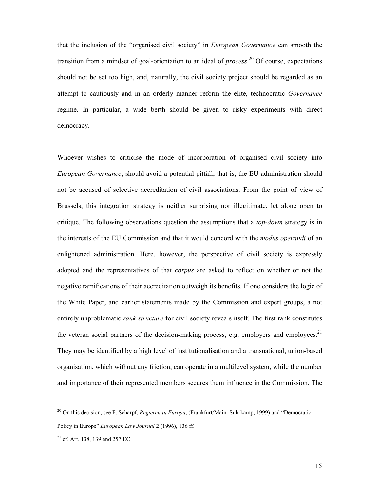that the inclusion of the "organised civil society" in European Governance can smooth the transition from a mindset of goal-orientation to an ideal of *process*.<sup>20</sup> Of course, expectations should not be set too high, and, naturally, the civil society project should be regarded as an attempt to cautiously and in an orderly manner reform the elite, technocratic Governance regime. In particular, a wide berth should be given to risky experiments with direct democracy.

Whoever wishes to criticise the mode of incorporation of organised civil society into European Governance, should avoid a potential pitfall, that is, the EU-administration should not be accused of selective accreditation of civil associations. From the point of view of Brussels, this integration strategy is neither surprising nor illegitimate, let alone open to critique. The following observations question the assumptions that a top-down strategy is in the interests of the EU Commission and that it would concord with the modus operandi of an enlightened administration. Here, however, the perspective of civil society is expressly adopted and the representatives of that corpus are asked to reflect on whether or not the negative ramifications of their accreditation outweigh its benefits. If one considers the logic of the White Paper, and earlier statements made by the Commission and expert groups, a not entirely unproblematic *rank structure* for civil society reveals itself. The first rank constitutes the veteran social partners of the decision-making process, e.g. employers and employees.<sup>21</sup> They may be identified by a high level of institutionalisation and a transnational, union-based organisation, which without any friction, can operate in a multilevel system, while the number and importance of their represented members secures them influence in the Commission. The

<sup>&</sup>lt;sup>20</sup> On this decision, see F. Scharpf, *Regieren in Europa*, (Frankfurt/Main: Suhrkamp, 1999) and "Democratic Policy in Europe" European Law Journal 2 (1996), 136 ff.

<sup>21</sup> cf. Art. 138, 139 and 257 EC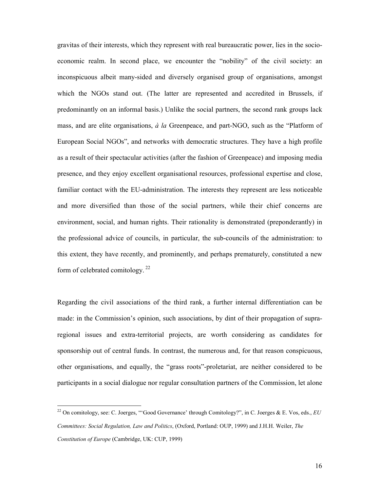gravitas of their interests, which they represent with real bureaucratic power, lies in the socioeconomic realm. In second place, we encounter the "nobility" of the civil society: an inconspicuous albeit many-sided and diversely organised group of organisations, amongst which the NGOs stand out. (The latter are represented and accredited in Brussels, if predominantly on an informal basis.) Unlike the social partners, the second rank groups lack mass, and are elite organisations,  $\dot{a}$  la Greenpeace, and part-NGO, such as the "Platform of European Social NGOs", and networks with democratic structures. They have a high profile as a result of their spectacular activities (after the fashion of Greenpeace) and imposing media presence, and they enjoy excellent organisational resources, professional expertise and close, familiar contact with the EU-administration. The interests they represent are less noticeable and more diversified than those of the social partners, while their chief concerns are environment, social, and human rights. Their rationality is demonstrated (preponderantly) in the professional advice of councils, in particular, the sub-councils of the administration: to this extent, they have recently, and prominently, and perhaps prematurely, constituted a new form of celebrated comitology.<sup>22</sup>

Regarding the civil associations of the third rank, a further internal differentiation can be made: in the Commission's opinion, such associations, by dint of their propagation of supraregional issues and extra-territorial projects, are worth considering as candidates for sponsorship out of central funds. In contrast, the numerous and, for that reason conspicuous, other organisations, and equally, the "grass roots"-proletariat, are neither considered to be participants in a social dialogue nor regular consultation partners of the Commission, let alone

<sup>&</sup>lt;sup>22</sup> On comitology, see: C. Joerges, "'Good Governance' through Comitology?", in C. Joerges & E. Vos, eds.,  $EU$ Committees: Social Regulation, Law and Politics, (Oxford, Portland: OUP, 1999) and J.H.H. Weiler, The Constitution of Europe (Cambridge, UK: CUP, 1999)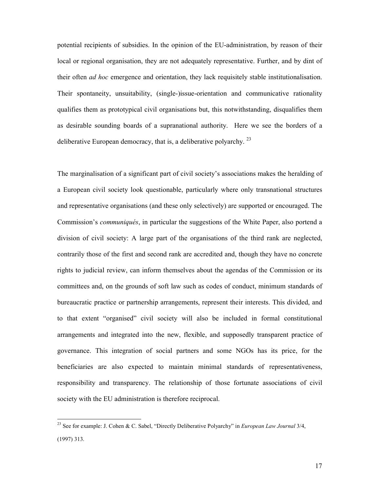potential recipients of subsidies. In the opinion of the EU-administration, by reason of their local or regional organisation, they are not adequately representative. Further, and by dint of their often *ad hoc* emergence and orientation, they lack requisitely stable institutionalisation. Their spontaneity, unsuitability, (single-)issue-orientation and communicative rationality qualifies them as prototypical civil organisations but, this notwithstanding, disqualifies them as desirable sounding boards of a supranational authority. Here we see the borders of a deliberative European democracy, that is, a deliberative polyarchy.  $^{23}$ 

The marginalisation of a significant part of civil society's associations makes the heralding of a European civil society look questionable, particularly where only transnational structures and representative organisations (and these only selectively) are supported or encouraged. The Commission's communiqués, in particular the suggestions of the White Paper, also portend a division of civil society: A large part of the organisations of the third rank are neglected, contrarily those of the first and second rank are accredited and, though they have no concrete rights to judicial review, can inform themselves about the agendas of the Commission or its committees and, on the grounds of soft law such as codes of conduct, minimum standards of bureaucratic practice or partnership arrangements, represent their interests. This divided, and to that extent "organised" civil society will also be included in formal constitutional arrangements and integrated into the new, flexible, and supposedly transparent practice of governance. This integration of social partners and some NGOs has its price, for the beneficiaries are also expected to maintain minimal standards of representativeness, responsibility and transparency. The relationship of those fortunate associations of civil society with the EU administration is therefore reciprocal.

<sup>&</sup>lt;sup>23</sup> See for example: J. Cohen & C. Sabel, "Directly Deliberative Polyarchy" in *European Law Journal*  $3/4$ , (1997) 313.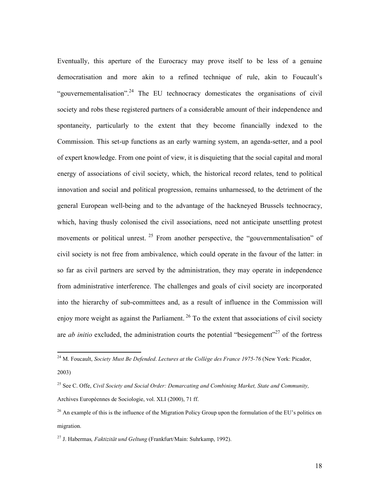Eventually, this aperture of the Eurocracy may prove itself to be less of a genuine democratisation and more akin to a refined technique of rule, akin to Foucault's "gouvernementalisation".<sup>24</sup> The EU technocracy domesticates the organisations of civil society and robs these registered partners of a considerable amount of their independence and spontaneity, particularly to the extent that they become financially indexed to the Commission. This set-up functions as an early warning system, an agenda-setter, and a pool of expert knowledge. From one point of view, it is disquieting that the social capital and moral energy of associations of civil society, which, the historical record relates, tend to political innovation and social and political progression, remains unharnessed, to the detriment of the general European well-being and to the advantage of the hackneyed Brussels technocracy, which, having thusly colonised the civil associations, need not anticipate unsettling protest movements or political unrest.<sup>25</sup> From another perspective, the "gouvernmentalisation" of civil society is not free from ambivalence, which could operate in the favour of the latter: in so far as civil partners are served by the administration, they may operate in independence from administrative interference. The challenges and goals of civil society are incorporated into the hierarchy of sub-committees and, as a result of influence in the Commission will enjoy more weight as against the Parliament.<sup>26</sup> To the extent that associations of civil society are *ab initio* excluded, the administration courts the potential "besiegement"<sup>27</sup> of the fortress

 $^{24}$  M. Foucault, Society Must Be Defended. Lectures at the Collège des France 1975-76 (New York: Picador,

<sup>2003)</sup> 

<sup>&</sup>lt;sup>25</sup> See C. Offe, Civil Society and Social Order: Demarcating and Combining Market, State and Community, Archives Européennes de Sociologie, vol. XLI (2000), 71 ff.

<sup>&</sup>lt;sup>26</sup> An example of this is the influence of the Migration Policy Group upon the formulation of the EU's politics on migration.

 $^{27}$  J. Habermas, *Faktizität und Geltung* (Frankfurt/Main: Suhrkamp, 1992).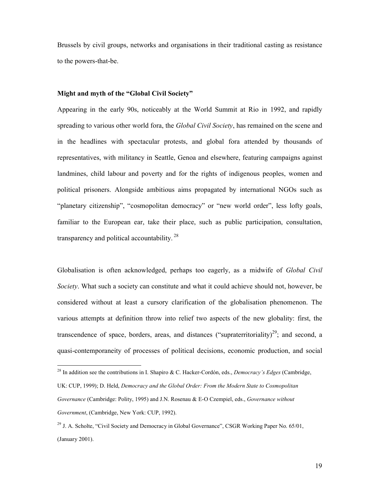Brussels by civil groups, networks and organisations in their traditional casting as resistance to the powers-that-be.

#### Might and myth of the "Global Civil Society"

 $\overline{a}$ 

Appearing in the early 90s, noticeably at the World Summit at Rio in 1992, and rapidly spreading to various other world fora, the *Global Civil Society*, has remained on the scene and in the headlines with spectacular protests, and global fora attended by thousands of representatives, with militancy in Seattle, Genoa and elsewhere, featuring campaigns against landmines, child labour and poverty and for the rights of indigenous peoples, women and political prisoners. Alongside ambitious aims propagated by international NGOs such as "planetary citizenship", "cosmopolitan democracy" or "new world order", less lofty goals, familiar to the European ear, take their place, such as public participation, consultation, transparency and political accountability.<sup>28</sup>

Globalisation is often acknowledged, perhaps too eagerly, as a midwife of Global Civil Society. What such a society can constitute and what it could achieve should not, however, be considered without at least a cursory clarification of the globalisation phenomenon. The various attempts at definition throw into relief two aspects of the new globality: first, the transcendence of space, borders, areas, and distances ("supraterritoriality)<sup>29</sup>; and second, a quasi-contemporaneity of processes of political decisions, economic production, and social

<sup>28</sup> In addition see the contributions in I. Shapiro & C. Hacker-Cordón, eds., *Democracy's Edges* (Cambridge, UK: CUP, 1999); D. Held, Democracy and the Global Order: From the Modern State to Cosmopolitan Governance (Cambridge: Polity, 1995) and J.N. Rosenau & E-O Czempiel, eds., Governance without Government, (Cambridge, New York: CUP, 1992).

 $^{29}$  J. A. Scholte, "Civil Society and Democracy in Global Governance", CSGR Working Paper No. 65/01, (January 2001).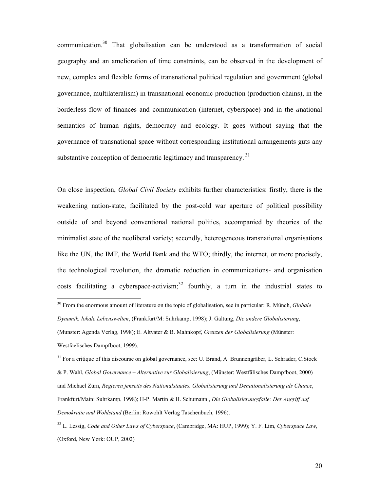communication.<sup>30</sup> That globalisation can be understood as a transformation of social geography and an amelioration of time constraints, can be observed in the development of new, complex and flexible forms of transnational political regulation and government (global governance, multilateralism) in transnational economic production (production chains), in the borderless flow of finances and communication (internet, cyberspace) and in the anational semantics of human rights, democracy and ecology. It goes without saying that the governance of transnational space without corresponding institutional arrangements guts any substantive conception of democratic legitimacy and transparency.<sup>31</sup>

On close inspection, Global Civil Society exhibits further characteristics: firstly, there is the weakening nation-state, facilitated by the post-cold war aperture of political possibility outside of and beyond conventional national politics, accompanied by theories of the minimalist state of the neoliberal variety; secondly, heterogeneous transnational organisations like the UN, the IMF, the World Bank and the WTO; thirdly, the internet, or more precisely, the technological revolution, the dramatic reduction in communications- and organisation costs facilitating a cyberspace-activism; $32$  fourthly, a turn in the industrial states to

<sup>&</sup>lt;sup>30</sup> From the enormous amount of literature on the topic of globalisation, see in particular: R. Münch, *Globale* Dynamik, lokale Lebenswelten, (Frankfurt/M: Suhrkamp, 1998); J. Galtung, Die andere Globalisierung, (Munster: Agenda Verlag, 1998); E. Altvater & B. Mahnkopf, Grenzen der Globalisierung (Münster: Westfaelisches Dampfboot, 1999).

<sup>&</sup>lt;sup>31</sup> For a critique of this discourse on global governance, see: U. Brand, A. Brunnengräber, L. Schrader, C.Stock & P. Wahl, Global Governance – Alternative zur Globalisierung, (Münster: Westfälisches Dampfboot, 2000) and Michael Zürn, *Regieren jenseits des Nationalstaates. Globalisierung und Denationalisierung als Chance*, Frankfurt/Main: Suhrkamp, 1998); H-P. Martin & H. Schumann., Die Globalisierungsfalle: Der Angriff auf Demokratie und Wohlstand (Berlin: Rowohlt Verlag Taschenbuch, 1996).

 $32$  L. Lessig, *Code and Other Laws of Cyberspace*, (Cambridge, MA: HUP, 1999); Y. F. Lim, *Cyberspace Law*, (Oxford, New York: OUP, 2002)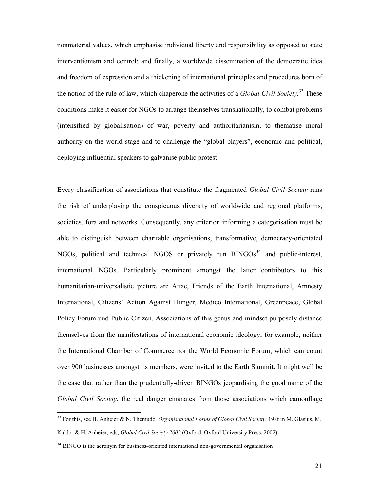nonmaterial values, which emphasise individual liberty and responsibility as opposed to state interventionism and control; and finally, a worldwide dissemination of the democratic idea and freedom of expression and a thickening of international principles and procedures born of the notion of the rule of law, which chaperone the activities of a *Global Civil Society*.<sup>33</sup> These conditions make it easier for NGOs to arrange themselves transnationally, to combat problems (intensified by globalisation) of war, poverty and authoritarianism, to thematise moral authority on the world stage and to challenge the "global players", economic and political, deploying influential speakers to galvanise public protest.

Every classification of associations that constitute the fragmented Global Civil Society runs the risk of underplaying the conspicuous diversity of worldwide and regional platforms, societies, fora and networks. Consequently, any criterion informing a categorisation must be able to distinguish between charitable organisations, transformative, democracy-orientated NGOs, political and technical NGOS or privately run  $\text{BINGOs}^{34}$  and public-interest, international NGOs. Particularly prominent amongst the latter contributors to this humanitarian-universalistic picture are Attac, Friends of the Earth International, Amnesty International, Citizens' Action Against Hunger, Medico International, Greenpeace, Global Policy Forum und Public Citizen. Associations of this genus and mindset purposely distance themselves from the manifestations of international economic ideology; for example, neither the International Chamber of Commerce nor the World Economic Forum, which can count over 900 businesses amongst its members, were invited to the Earth Summit. It might well be the case that rather than the prudentially-driven BINGOs jeopardising the good name of the Global Civil Society, the real danger emanates from those associations which camouflage

 $33$  For this, see H. Anheier & N. Themudo, Organisational Forms of Global Civil Society, 198f in M. Glasius, M. Kaldor & H. Anheier, eds, Global Civil Society 2002 (Oxford: Oxford University Press, 2002).

<sup>&</sup>lt;sup>34</sup> BINGO is the acronym for business-oriented international non-governmental organisation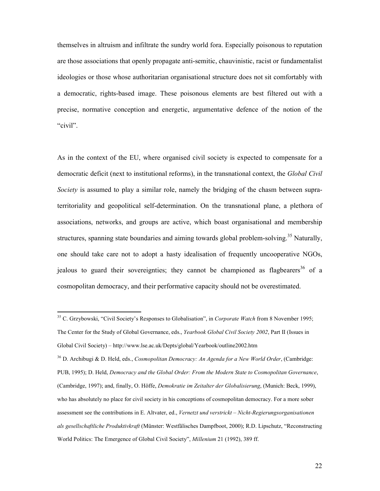themselves in altruism and infiltrate the sundry world fora. Especially poisonous to reputation are those associations that openly propagate anti-semitic, chauvinistic, racist or fundamentalist ideologies or those whose authoritarian organisational structure does not sit comfortably with a democratic, rights-based image. These poisonous elements are best filtered out with a precise, normative conception and energetic, argumentative defence of the notion of the "civil".

As in the context of the EU, where organised civil society is expected to compensate for a democratic deficit (next to institutional reforms), in the transnational context, the Global Civil Society is assumed to play a similar role, namely the bridging of the chasm between supraterritoriality and geopolitical self-determination. On the transnational plane, a plethora of associations, networks, and groups are active, which boast organisational and membership structures, spanning state boundaries and aiming towards global problem-solving.<sup>35</sup> Naturally, one should take care not to adopt a hasty idealisation of frequently uncooperative NGOs, iealous to guard their sovereignties; they cannot be championed as flagbearers<sup>36</sup> of a cosmopolitan democracy, and their performative capacity should not be overestimated.

 $\overline{a}$ 

<sup>36</sup> D. Archibugi & D. Held, eds., *Cosmopolitan Democracy: An Agenda for a New World Order*, (Cambridge: PUB, 1995); D. Held, Democracy and the Global Order: From the Modern State to Cosmopolitan Governance, (Cambridge, 1997); and, finally, O. Höffe, Demokratie im Zeitalter der Globalisierung, (Munich: Beck, 1999), who has absolutely no place for civil society in his conceptions of cosmopolitan democracy. For a more sober assessment see the contributions in E. Altvater, ed., Vernetzt und verstrickt - Nicht-Regierungsorganisationen als gesellschaftliche Produktivkraft (Münster: Westfälisches Dampfboot, 2000); R.D. Lipschutz, "Reconstructing World Politics: The Emergence of Global Civil Society", Millenium 21 (1992), 389 ff.

 $35$  C. Grzybowski, "Civil Society's Responses to Globalisation", in Corporate Watch from 8 November 1995; The Center for the Study of Global Governance, eds., Yearbook Global Civil Society 2002, Part II (Issues in Global Civil Society) – http://www.lse.ac.uk/Depts/global/Yearbook/outline2002.htm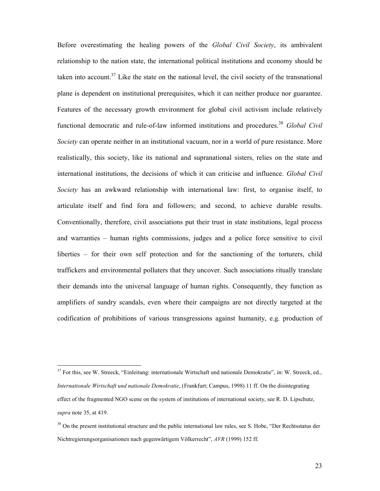Before overestimating the healing powers of the Global Civil Society, its ambivalent relationship to the nation state, the international political institutions and economy should be taken into account.<sup>37</sup> Like the state on the national level, the civil society of the transnational plane is dependent on institutional prerequisites, which it can neither produce nor guarantee. Features of the necessary growth environment for global civil activism include relatively functional democratic and rule-of-law informed institutions and procedures.<sup>38</sup> Global Civil Society can operate neither in an institutional vacuum, nor in a world of pure resistance. More realistically, this society, like its national and supranational sisters, relies on the state and international institutions, the decisions of which it can criticise and influence. Global Civil Society has an awkward relationship with international law: first, to organise itself, to articulate itself and find fora and followers; and second, to achieve durable results. Conventionally, therefore, civil associations put their trust in state institutions, legal process and warranties – human rights commissions, judges and a police force sensitive to civil liberties – for their own self protection and for the sanctioning of the torturers, child traffickers and environmental polluters that they uncover. Such associations ritually translate their demands into the universal language of human rights. Consequently, they function as amplifiers of sundry scandals, even where their campaigns are not directly targeted at the codification of prohibitions of various transgressions against humanity, e.g. production of

<sup>&</sup>lt;sup>37</sup> For this, see W. Streeck, "Einleitung: internationale Wirtschaft und nationale Demokratie", in: W. Streeck, ed., Internationale Wirtschaft und nationale Demokratie, (Frankfurt; Campus, 1998) 11 ff. On the disintegrating effect of the fragmented NGO scene on the system of institutions of international society, see R. D. Lipschutz, supra note 35, at 419.

<sup>&</sup>lt;sup>38</sup> On the present institutional structure and the public international law rules, see S. Hobe, "Der Rechtsstatus der Nichtregierungsorganisationen nach gegenwärtigem Völkerrecht", AVR (1999) 152 ff.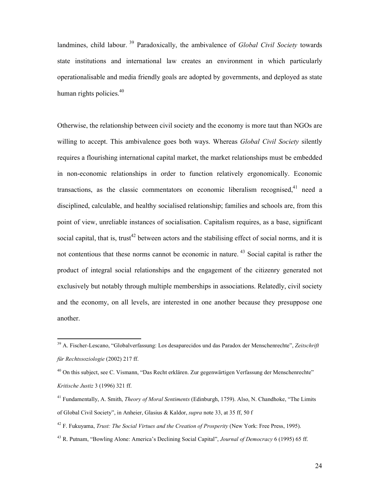landmines, child labour.<sup>39</sup> Paradoxically, the ambivalence of *Global Civil Society* towards state institutions and international law creates an environment in which particularly operationalisable and media friendly goals are adopted by governments, and deployed as state human rights policies. $40$ 

Otherwise, the relationship between civil society and the economy is more taut than NGOs are willing to accept. This ambivalence goes both ways. Whereas Global Civil Society silently requires a flourishing international capital market, the market relationships must be embedded in non-economic relationships in order to function relatively ergonomically. Economic transactions, as the classic commentators on economic liberalism recognised, $41$  need a disciplined, calculable, and healthy socialised relationship; families and schools are, from this point of view, unreliable instances of socialisation. Capitalism requires, as a base, significant social capital, that is, trust<sup>42</sup> between actors and the stabilising effect of social norms, and it is not contentious that these norms cannot be economic in nature.<sup> $43$ </sup> Social capital is rather the product of integral social relationships and the engagement of the citizenry generated not exclusively but notably through multiple memberships in associations. Relatedly, civil society and the economy, on all levels, are interested in one another because they presuppose one another.

<sup>&</sup>lt;sup>39</sup> A. Fischer-Lescano, "Globalverfassung: Los desaparecidos und das Paradox der Menschenrechte", Zeitschrift für Rechtssoziologie (2002) 217 ff.

<sup>&</sup>lt;sup>40</sup> On this subject, see C. Vismann, "Das Recht erklären. Zur gegenwärtigen Verfassung der Menschenrechte" Kritische Justiz 3 (1996) 321 ff.

<sup>&</sup>lt;sup>41</sup> Fundamentally, A. Smith, *Theory of Moral Sentiments* (Edinburgh, 1759). Also, N. Chandhoke, "The Limits of Global Civil Society", in Anheier, Glasius & Kaldor, supra note 33, at 35 ff, 50 f

 $42$  F. Fukuyama, *Trust: The Social Virtues and the Creation of Prosperity* (New York: Free Press, 1995).

<sup>&</sup>lt;sup>43</sup> R. Putnam, "Bowling Alone: America's Declining Social Capital", Journal of Democracy 6 (1995) 65 ff.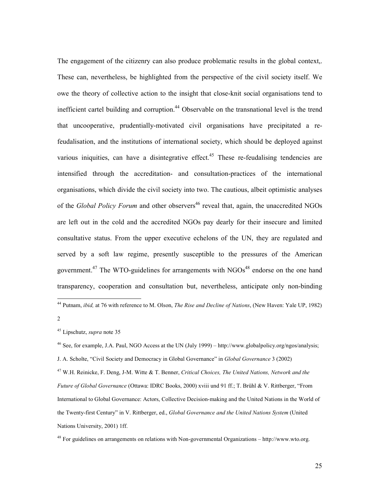The engagement of the citizenry can also produce problematic results in the global context,. These can, nevertheless, be highlighted from the perspective of the civil society itself. We owe the theory of collective action to the insight that close-knit social organisations tend to inefficient cartel building and corruption.<sup>44</sup> Observable on the transnational level is the trend that uncooperative, prudentially-motivated civil organisations have precipitated a refeudalisation, and the institutions of international society, which should be deployed against various iniquities, can have a disintegrative effect.<sup>45</sup> These re-feudalising tendencies are intensified through the accreditation- and consultation-practices of the international organisations, which divide the civil society into two. The cautious, albeit optimistic analyses of the *Global Policy Forum* and other observers<sup>46</sup> reveal that, again, the unaccredited NGOs are left out in the cold and the accredited NGOs pay dearly for their insecure and limited consultative status. From the upper executive echelons of the UN, they are regulated and served by a soft law regime, presently susceptible to the pressures of the American government.<sup>47</sup> The WTO-guidelines for arrangements with  $NGOs<sup>48</sup>$  endorse on the one hand transparency, cooperation and consultation but, nevertheless, anticipate only non-binding

<sup>45</sup> Lipschutz, supra note 35

 $\overline{a}$ 

<sup>47</sup> W.H. Reinicke, F. Deng, J-M. Witte & T. Benner, Critical Choices, The United Nations, Network and the Future of Global Governance (Ottawa: IDRC Books, 2000) xviii und 91 ff.; T. Brühl & V. Rittberger, "From International to Global Governance: Actors, Collective Decision-making and the United Nations in the World of the Twenty-first Century" in V. Rittberger, ed., Global Governance and the United Nations System (United Nations University, 2001) 1ff.

<sup>48</sup> For guidelines on arrangements on relations with Non-governmental Organizations – http://www.wto.org.

25

<sup>&</sup>lt;sup>44</sup> Putnam, *ibid*, at 76 with reference to M. Olson, *The Rise and Decline of Nations*, (New Haven: Yale UP, 1982) 2

<sup>46</sup> See, for example, J.A. Paul, NGO Access at the UN (July 1999) – http://www.globalpolicy.org/ngos/analysis; J. A. Scholte, "Civil Society and Democracy in Global Governance" in Global Governance 3 (2002)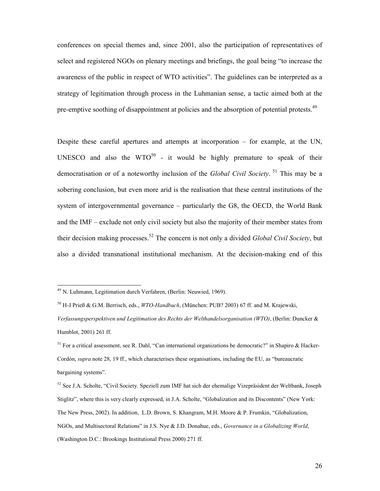conferences on special themes and, since 2001, also the participation of representatives of select and registered NGOs on plenary meetings and briefings, the goal being "to increase the awareness of the public in respect of WTO activities". The guidelines can be interpreted as a strategy of legitimation through process in the Luhmanian sense, a tactic aimed both at the pre-emptive soothing of disappointment at policies and the absorption of potential protests.<sup>49</sup>

Despite these careful apertures and attempts at incorporation – for example, at the UN, UNESCO and also the  $WTO^{50}$  - it would be highly premature to speak of their democratisation or of a noteworthy inclusion of the *Global Civil Society*.<sup>51</sup> This may be a sobering conclusion, but even more arid is the realisation that these central institutions of the system of intergovernmental governance – particularly the G8, the OECD, the World Bank and the IMF – exclude not only civil society but also the majority of their member states from their decision making processes.<sup>52</sup> The concern is not only a divided *Global Civil Society*, but also a divided transnational institutional mechanism. At the decision-making end of this

<sup>&</sup>lt;sup>49</sup> N. Luhmann, Legitimation durch Verfahren, (Berlin: Neuwied, 1969).

<sup>&</sup>lt;sup>50</sup> H-J Prieß & G.M. Berrisch, eds., *WTO-Handbuch*, (München: PUB? 2003) 67 ff. and M. Krajewski,

Verfassungsperspektiven und Legitimation des Rechts der Welthandelsorganisation (WTO), (Berlin: Duncker & Humblot, 2001) 261 ff.

 $51$  For a critical assessment, see R. Dahl, "Can international organizations be democratic?" in Shapiro & Hacker-Cordón, supra note 28, 19 ff., which characterises these organisations, including the EU, as "bureaucratic bargaining systems".

<sup>52</sup> See J.A. Scholte, "Civil Society. Speziell zum IMF hat sich der ehemalige Vizepräsident der Weltbank, Joseph Stiglitz", where this is very clearly expressed, in J.A. Scholte, "Globalization and its Discontents" (New York: The New Press, 2002). In addition, L.D. Brown, S. Khangram, M.H. Moore & P. Frumkin, "Globalization, NGOs, and Multisectoral Relations" in J.S. Nye & J.D. Donahue, eds., Governance in a Globalizing World, (Washington D.C.: Brookings Institutional Press 2000) 271 ff.